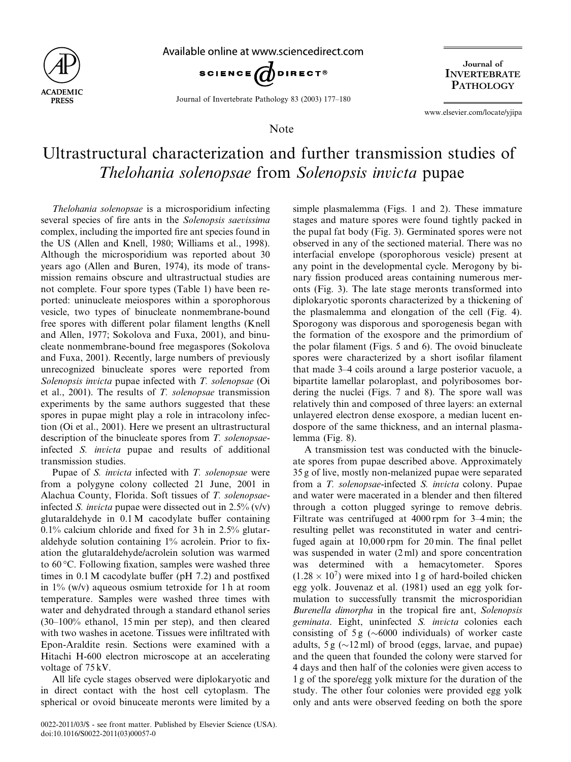

Available online at www.sciencedirect.com



Journal of Invertebrate Pathology 83 (2003) 177–180

Note

Journal of **INVERTEBRATE PATHOLOGY** 

www.elsevier.com/locate/yjipa

## Ultrastructural characterization and further transmission studies of Thelohania solenopsae from Solenopsis invicta pupae

Thelohania solenopsae is a microsporidium infecting several species of fire ants in the Solenopsis saevissima complex, including the imported fire ant species found in the US (Allen and Knell, 1980; Williams et al., 1998). Although the microsporidium was reported about 30 years ago (Allen and Buren, 1974), its mode of transmission remains obscure and ultrastructual studies are not complete. Four spore types (Table 1) have been reported: uninucleate meiospores within a sporophorous vesicle, two types of binucleate nonmembrane-bound free spores with different polar filament lengths (Knell and Allen, 1977; Sokolova and Fuxa, 2001), and binucleate nonmembrane-bound free megaspores (Sokolova and Fuxa, 2001). Recently, large numbers of previously unrecognized binucleate spores were reported from Solenopsis invicta pupae infected with T. solenopsae (Oi et al., 2001). The results of T. solenopsae transmission experiments by the same authors suggested that these spores in pupae might play a role in intracolony infection (Oi et al., 2001). Here we present an ultrastructural description of the binucleate spores from T. solenopsaeinfected S. invicta pupae and results of additional transmission studies.

Pupae of S. *invicta* infected with T. solenopsae were from a polygyne colony collected 21 June, 2001 in Alachua County, Florida. Soft tissues of T. solenopsaeinfected S. invicta pupae were dissected out in 2.5% (v/v) glutaraldehyde in 0.1 M cacodylate buffer containing 0.1% calcium chloride and fixed for 3 h in 2.5% glutaraldehyde solution containing 1% acrolein. Prior to fixation the glutaraldehyde/acrolein solution was warmed to  $60^{\circ}$ C. Following fixation, samples were washed three times in 0.1 M cacodylate buffer (pH 7.2) and postfixed in 1% (w/v) aqueous osmium tetroxide for 1 h at room temperature. Samples were washed three times with water and dehydrated through a standard ethanol series (30–100% ethanol, 15 min per step), and then cleared with two washes in acetone. Tissues were infiltrated with Epon-Araldite resin. Sections were examined with a Hitachi H-600 electron microscope at an accelerating voltage of 75 kV.

All life cycle stages observed were diplokaryotic and in direct contact with the host cell cytoplasm. The spherical or ovoid binuceate meronts were limited by a

simple plasmalemma (Figs. 1 and 2). These immature stages and mature spores were found tightly packed in the pupal fat body (Fig. 3). Germinated spores were not observed in any of the sectioned material. There was no interfacial envelope (sporophorous vesicle) present at any point in the developmental cycle. Merogony by binary fission produced areas containing numerous meronts (Fig. 3). The late stage meronts transformed into diplokaryotic sporonts characterized by a thickening of the plasmalemma and elongation of the cell (Fig. 4). Sporogony was disporous and sporogenesis began with the formation of the exospore and the primordium of the polar filament (Figs. 5 and 6). The ovoid binucleate spores were characterized by a short isofilar filament that made 3–4 coils around a large posterior vacuole, a bipartite lamellar polaroplast, and polyribosomes bordering the nuclei (Figs. 7 and 8). The spore wall was relatively thin and composed of three layers: an external unlayered electron dense exospore, a median lucent endospore of the same thickness, and an internal plasmalemma (Fig. 8).

A transmission test was conducted with the binucleate spores from pupae described above. Approximately 35 g of live, mostly non-melanized pupae were separated from a T. solenopsae-infected S. invicta colony. Pupae and water were macerated in a blender and then filtered through a cotton plugged syringe to remove debris. Filtrate was centrifuged at 4000 rpm for 3–4 min; the resulting pellet was reconstituted in water and centrifuged again at 10,000 rpm for 20 min. The final pellet was suspended in water (2 ml) and spore concentration was determined with a hemacytometer. Spores  $(1.28 \times 10^7)$  were mixed into 1 g of hard-boiled chicken egg yolk. Jouvenaz et al. (1981) used an egg yolk formulation to successfully transmit the microsporidian Burenella dimorpha in the tropical fire ant, Solenopsis geminata. Eight, uninfected S. invicta colonies each consisting of 5 g ( $\sim 6000$  individuals) of worker caste adults,  $5 g (\sim 12 \text{ ml})$  of brood (eggs, larvae, and pupae) and the queen that founded the colony were starved for 4 days and then half of the colonies were given access to 1 g of the spore/egg yolk mixture for the duration of the study. The other four colonies were provided egg yolk only and ants were observed feeding on both the spore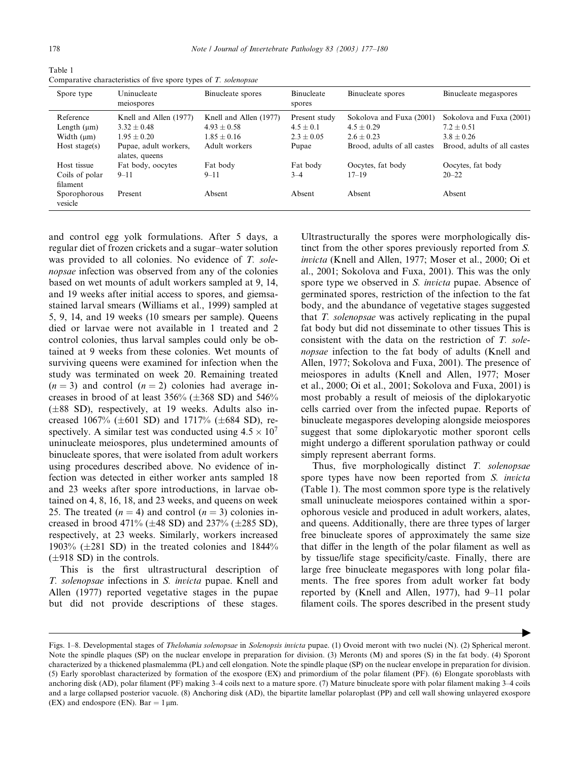| ٠ | I<br>٧ |
|---|--------|
|   |        |

| Spore type                                       | Uninucleate<br>meiospores                                | Binucleate spores                                        | Binucleate<br>spores                         | Binucleate spores                                        | Binucleate megaspores                                      |
|--------------------------------------------------|----------------------------------------------------------|----------------------------------------------------------|----------------------------------------------|----------------------------------------------------------|------------------------------------------------------------|
| Reference<br>Length $(\mu m)$<br>Width $(\mu m)$ | Knell and Allen (1977)<br>$3.32 + 0.48$<br>$1.95 + 0.20$ | Knell and Allen (1977)<br>$4.93 + 0.58$<br>$1.85 + 0.16$ | Present study<br>$4.5 + 0.1$<br>$2.3 + 0.05$ | Sokolova and Fuxa (2001)<br>$4.5 + 0.29$<br>$2.6 + 0.23$ | Sokolova and Fuxa (2001)<br>$7.2 \pm 0.51$<br>$3.8 + 0.26$ |
| Host stage(s)                                    | Pupae, adult workers,<br>alates, queens                  | Adult workers                                            | Pupae                                        | Brood, adults of all castes                              | Brood, adults of all castes                                |
| Host tissue<br>Coils of polar<br>filament        | Fat body, oocytes<br>$9 - 11$                            | Fat body<br>$9 - 11$                                     | Fat body<br>$3 - 4$                          | Oocytes, fat body<br>$17 - 19$                           | Oocytes, fat body<br>$20 - 22$                             |
| Sporophorous<br>vesicle                          | Present                                                  | Absent                                                   | Absent                                       | Absent                                                   | Absent                                                     |

Table 1 Comparative characteristics of five spore types of T. solenopsae

and control egg yolk formulations. After 5 days, a regular diet of frozen crickets and a sugar–water solution was provided to all colonies. No evidence of T. solenopsae infection was observed from any of the colonies based on wet mounts of adult workers sampled at 9, 14, and 19 weeks after initial access to spores, and giemsastained larval smears (Williams et al., 1999) sampled at 5, 9, 14, and 19 weeks (10 smears per sample). Queens died or larvae were not available in 1 treated and 2 control colonies, thus larval samples could only be obtained at 9 weeks from these colonies. Wet mounts of surviving queens were examined for infection when the study was terminated on week 20. Remaining treated  $(n = 3)$  and control  $(n = 2)$  colonies had average increases in brood of at least  $356\%$  ( $\pm 368$  SD) and  $546\%$  $(\pm 88$  SD), respectively, at 19 weeks. Adults also increased 1067% ( $\pm 601$  SD) and 1717% ( $\pm 684$  SD), respectively. A similar test was conducted using  $4.5 \times 10^7$ uninucleate meiospores, plus undetermined amounts of binucleate spores, that were isolated from adult workers using procedures described above. No evidence of infection was detected in either worker ants sampled 18 and 23 weeks after spore introductions, in larvae obtained on 4, 8, 16, 18, and 23 weeks, and queens on week 25. The treated ( $n = 4$ ) and control ( $n = 3$ ) colonies increased in brood 471% ( $\pm$ 48 SD) and 237% ( $\pm$ 285 SD), respectively, at 23 weeks. Similarly, workers increased 1903%  $(\pm 281$  SD) in the treated colonies and 1844%  $(\pm 918$  SD) in the controls.

This is the first ultrastructural description of T. solenopsae infections in S. invicta pupae. Knell and Allen (1977) reported vegetative stages in the pupae but did not provide descriptions of these stages.

Ultrastructurally the spores were morphologically distinct from the other spores previously reported from S. invicta (Knell and Allen, 1977; Moser et al., 2000; Oi et al., 2001; Sokolova and Fuxa, 2001). This was the only spore type we observed in S. *invicta* pupae. Absence of germinated spores, restriction of the infection to the fat body, and the abundance of vegetative stages suggested that T. solenopsae was actively replicating in the pupal fat body but did not disseminate to other tissues This is consistent with the data on the restriction of T. solenopsae infection to the fat body of adults (Knell and Allen, 1977; Sokolova and Fuxa, 2001). The presence of meiospores in adults (Knell and Allen, 1977; Moser et al., 2000; Oi et al., 2001; Sokolova and Fuxa, 2001) is most probably a result of meiosis of the diplokaryotic cells carried over from the infected pupae. Reports of binucleate megaspores developing alongside meiospores suggest that some diplokaryotic mother sporont cells might undergo a different sporulation pathway or could simply represent aberrant forms.

Thus, five morphologically distinct T. solenopsae spore types have now been reported from S. *invicta* (Table 1). The most common spore type is the relatively small uninucleate meiospores contained within a sporophorous vesicle and produced in adult workers, alates, and queens. Additionally, there are three types of larger free binucleate spores of approximately the same size that differ in the length of the polar filament as well as by tissue/life stage specificity/caste. Finally, there are large free binucleate megaspores with long polar filaments. The free spores from adult worker fat body reported by (Knell and Allen, 1977), had 9–11 polar filament coils. The spores described in the present study

 $\blacktriangleright$ 

Figs. 1–8. Developmental stages of *Thelohania solenopsae* in *Solenopsis invicta* pupae. (1) Ovoid meront with two nuclei (N). (2) Spherical meront. Note the spindle plaques (SP) on the nuclear envelope in preparation for division. (3) Meronts (M) and spores (S) in the fat body. (4) Sporont characterized by a thickened plasmalemma (PL) and cell elongation. Note the spindle plaque (SP) on the nuclear envelope in preparation for division. (5) Early sporoblast characterized by formation of the exospore (EX) and primordium of the polar filament (PF). (6) Elongate sporoblasts with anchoring disk (AD), polar filament (PF) making 3–4 coils next to a mature spore. (7) Mature binucleate spore with polar filament making 3–4 coils and a large collapsed posterior vacuole. (8) Anchoring disk (AD), the bipartite lamellar polaroplast (PP) and cell wall showing unlayered exospore (EX) and endospore (EN). Bar =  $1 \mu$ m.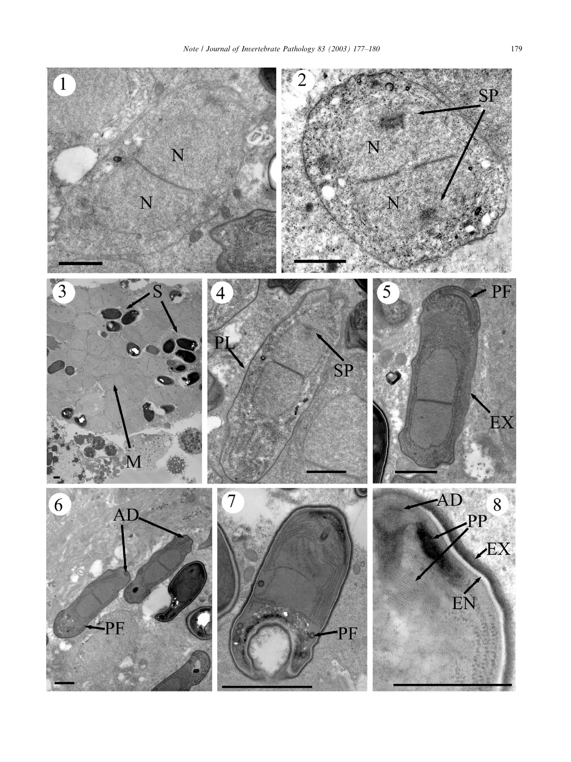